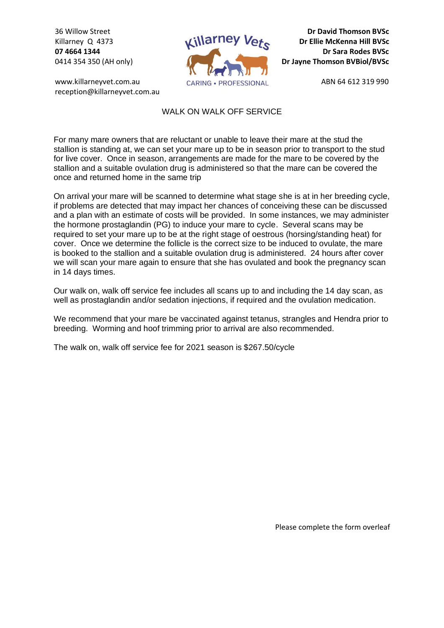36 Willow Street Killarney Q 4373 **07 4664 1344** 0414 354 350 (AH only)

www.killarneyvet.com.au reception@killarneyvet.com.au



**Dr David Thomson BVSc Dr Ellie McKenna Hill BVSc Dr Sara Rodes BVSc Dr Jayne Thomson BVBiol/BVSc**

ABN 64 612 319 990

## WALK ON WALK OFF SERVICE

For many mare owners that are reluctant or unable to leave their mare at the stud the stallion is standing at, we can set your mare up to be in season prior to transport to the stud for live cover. Once in season, arrangements are made for the mare to be covered by the stallion and a suitable ovulation drug is administered so that the mare can be covered the once and returned home in the same trip

On arrival your mare will be scanned to determine what stage she is at in her breeding cycle, if problems are detected that may impact her chances of conceiving these can be discussed and a plan with an estimate of costs will be provided. In some instances, we may administer the hormone prostaglandin (PG) to induce your mare to cycle. Several scans may be required to set your mare up to be at the right stage of oestrous (horsing/standing heat) for cover. Once we determine the follicle is the correct size to be induced to ovulate, the mare is booked to the stallion and a suitable ovulation drug is administered. 24 hours after cover we will scan your mare again to ensure that she has ovulated and book the pregnancy scan in 14 days times.

Our walk on, walk off service fee includes all scans up to and including the 14 day scan, as well as prostaglandin and/or sedation injections, if required and the ovulation medication.

We recommend that your mare be vaccinated against tetanus, strangles and Hendra prior to breeding. Worming and hoof trimming prior to arrival are also recommended.

The walk on, walk off service fee for 2021 season is \$267.50/cycle

Please complete the form overleaf